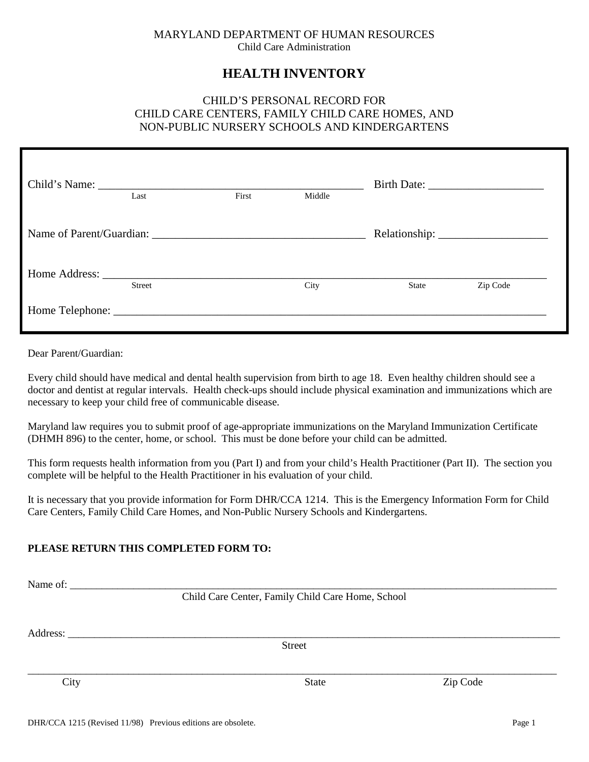#### MARYLAND DEPARTMENT OF HUMAN RESOURCES Child Care Administration

# **HEALTH INVENTORY**

# CHILD'S PERSONAL RECORD FOR CHILD CARE CENTERS, FAMILY CHILD CARE HOMES, AND NON-PUBLIC NURSERY SCHOOLS AND KINDERGARTENS

| Last          | First | Middle |       |          |
|---------------|-------|--------|-------|----------|
|               |       |        |       |          |
| <b>Street</b> |       | City   | State | Zip Code |
|               |       |        |       |          |

Dear Parent/Guardian:

Every child should have medical and dental health supervision from birth to age 18. Even healthy children should see a doctor and dentist at regular intervals. Health check-ups should include physical examination and immunizations which are necessary to keep your child free of communicable disease.

Maryland law requires you to submit proof of age-appropriate immunizations on the Maryland Immunization Certificate (DHMH 896) to the center, home, or school. This must be done before your child can be admitted.

This form requests health information from you (Part I) and from your child's Health Practitioner (Part II). The section you complete will be helpful to the Health Practitioner in his evaluation of your child.

It is necessary that you provide information for Form DHR/CCA 1214. This is the Emergency Information Form for Child Care Centers, Family Child Care Homes, and Non-Public Nursery Schools and Kindergartens.

## **PLEASE RETURN THIS COMPLETED FORM TO:**

| Name of: |                                                   |          |
|----------|---------------------------------------------------|----------|
|          | Child Care Center, Family Child Care Home, School |          |
|          |                                                   |          |
|          | Address:                                          |          |
|          | <b>Street</b>                                     |          |
|          |                                                   |          |
| City     | <b>State</b>                                      | Zip Code |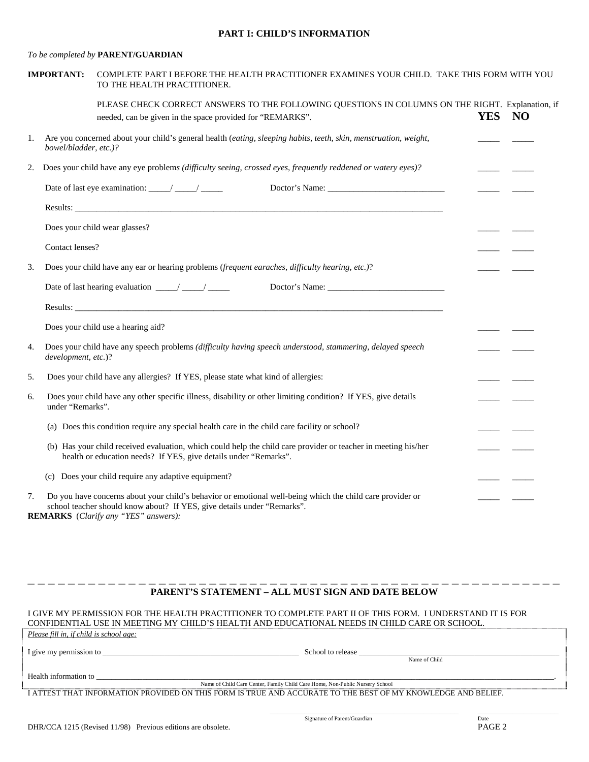#### **PART I: CHILD'S INFORMATION**

#### *To be completed by* **PARENT/GUARDIAN**

|    | <b>IMPORTANT:</b>     | COMPLETE PART I BEFORE THE HEALTH PRACTITIONER EXAMINES YOUR CHILD. TAKE THIS FORM WITH YOU<br>TO THE HEALTH PRACTITIONER.                                                                                                                                                                                                                                                                          |            |           |
|----|-----------------------|-----------------------------------------------------------------------------------------------------------------------------------------------------------------------------------------------------------------------------------------------------------------------------------------------------------------------------------------------------------------------------------------------------|------------|-----------|
|    |                       | PLEASE CHECK CORRECT ANSWERS TO THE FOLLOWING QUESTIONS IN COLUMNS ON THE RIGHT. Explanation, if<br>needed, can be given in the space provided for "REMARKS".                                                                                                                                                                                                                                       | <b>YES</b> | <b>NO</b> |
| 1. | bowel/bladder, etc.)? | Are you concerned about your child's general health (eating, sleeping habits, teeth, skin, menstruation, weight,                                                                                                                                                                                                                                                                                    |            |           |
| 2. |                       | Does your child have any eye problems (difficulty seeing, crossed eyes, frequently reddened or watery eyes)?                                                                                                                                                                                                                                                                                        |            |           |
|    |                       |                                                                                                                                                                                                                                                                                                                                                                                                     |            |           |
|    |                       |                                                                                                                                                                                                                                                                                                                                                                                                     |            |           |
|    |                       | Does your child wear glasses?                                                                                                                                                                                                                                                                                                                                                                       |            |           |
|    | Contact lenses?       |                                                                                                                                                                                                                                                                                                                                                                                                     |            |           |
| 3. |                       | Does your child have any ear or hearing problems (frequent earaches, difficulty hearing, etc.)?                                                                                                                                                                                                                                                                                                     |            |           |
|    |                       | Date of last hearing evaluation $\frac{1}{\sqrt{1-\frac{1}{2}}}\frac{1}{\sqrt{1-\frac{1}{2}}}\frac{1}{\sqrt{1-\frac{1}{2}}}\frac{1}{\sqrt{1-\frac{1}{2}}}\frac{1}{\sqrt{1-\frac{1}{2}}}\frac{1}{\sqrt{1-\frac{1}{2}}}\frac{1}{\sqrt{1-\frac{1}{2}}}\frac{1}{\sqrt{1-\frac{1}{2}}}\frac{1}{\sqrt{1-\frac{1}{2}}}\frac{1}{\sqrt{1-\frac{1}{2}}}\frac{1}{\sqrt{1-\frac{1}{2}}}\frac{1}{\sqrt{1-\frac{$ |            |           |
|    |                       |                                                                                                                                                                                                                                                                                                                                                                                                     |            |           |
|    |                       | Does your child use a hearing aid?                                                                                                                                                                                                                                                                                                                                                                  |            |           |
| 4. | development, etc.)?   | Does your child have any speech problems (difficulty having speech understood, stammering, delayed speech                                                                                                                                                                                                                                                                                           |            |           |
| 5. |                       | Does your child have any allergies? If YES, please state what kind of allergies:                                                                                                                                                                                                                                                                                                                    |            |           |
| 6. | under "Remarks".      | Does your child have any other specific illness, disability or other limiting condition? If YES, give details                                                                                                                                                                                                                                                                                       |            |           |
|    |                       | (a) Does this condition require any special health care in the child care facility or school?                                                                                                                                                                                                                                                                                                       |            |           |
|    |                       | (b) Has your child received evaluation, which could help the child care provider or teacher in meeting his/her<br>health or education needs? If YES, give details under "Remarks".                                                                                                                                                                                                                  |            |           |
|    |                       | (c) Does your child require any adaptive equipment?                                                                                                                                                                                                                                                                                                                                                 |            |           |
| 7. |                       | Do you have concerns about your child's behavior or emotional well-being which the child care provider or<br>school teacher should know about? If YES, give details under "Remarks".<br><b>REMARKS</b> (Clarify any "YES" answers):                                                                                                                                                                 |            |           |
|    |                       |                                                                                                                                                                                                                                                                                                                                                                                                     |            |           |
|    |                       |                                                                                                                                                                                                                                                                                                                                                                                                     |            |           |

### \_ \_ \_ \_ \_ \_ \_ \_ \_ \_ \_ \_ \_ \_ \_ \_ \_ \_ \_ \_ \_ \_ \_ \_ \_ \_ \_ \_ \_ \_ \_ \_ \_ \_ \_ \_ \_ \_ \_ \_ \_ \_ \_ \_ \_ \_ \_ \_ \_ \_ \_ \_ \_ **PARENT'S STATEMENT – ALL MUST SIGN AND DATE BELOW**

I GIVE MY PERMISSION FOR THE HEALTH PRACTITIONER TO COMPLETE PART II OF THIS FORM. I UNDERSTAND IT IS FOR CONFIDENTIAL USE IN MEETING MY CHILD'S HEALTH AND EDUCATIONAL NEEDS IN CHILD CARE OR SCHOOL. *Please fill in, if child is school age:* I give my permission to \_\_\_\_\_\_\_\_\_\_\_\_\_\_\_\_\_\_\_\_\_\_\_\_\_\_\_\_\_\_\_\_\_\_\_\_\_\_\_\_\_\_\_\_\_\_\_\_\_\_\_ School to release \_\_\_\_\_\_\_\_\_\_\_\_\_\_\_\_\_\_\_\_\_\_\_\_\_\_\_\_\_\_\_\_\_\_\_\_\_\_\_\_\_\_\_\_\_\_\_\_\_\_\_\_ Name of Child Health information to Name of Child Care Center, Family Child Care Home, Non-Public Nursery School I ATTEST THAT INFORMATION PROVIDED ON THIS FORM IS TRUE AND ACCURATE TO THE BEST OF MY KNOWLEDGE AND BELIEF. \_\_\_\_\_\_\_\_\_\_\_\_\_\_\_\_\_\_\_\_\_\_\_\_\_\_\_\_\_\_\_\_\_\_\_\_\_\_\_\_\_\_\_\_\_\_\_\_\_ \_\_\_\_\_\_\_\_\_\_\_\_\_\_\_\_\_\_\_\_\_ Signature of Parent/Guardian Date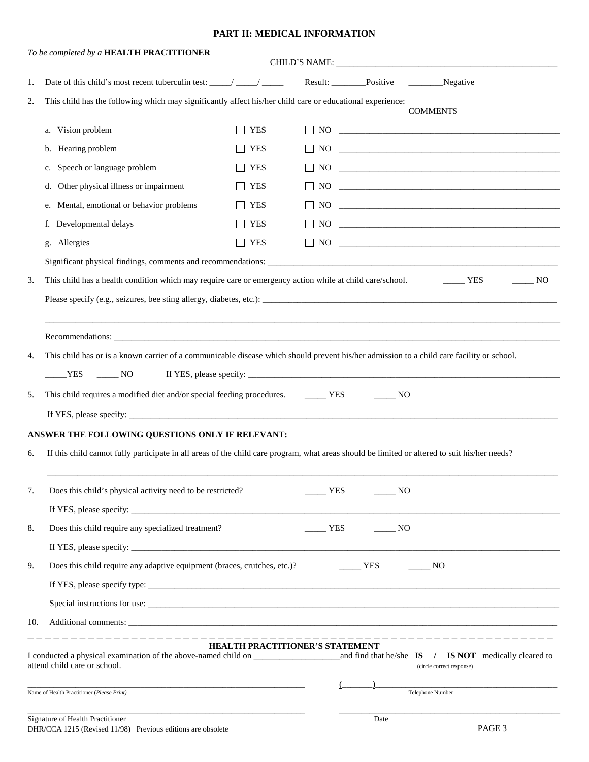#### **PART II: MEDICAL INFORMATION**

|                                                                                            | To be completed by a HEALTH PRACTITIONER                                                                                                                                                                                                                          |                                        |   |                                    |                                                                                        |
|--------------------------------------------------------------------------------------------|-------------------------------------------------------------------------------------------------------------------------------------------------------------------------------------------------------------------------------------------------------------------|----------------------------------------|---|------------------------------------|----------------------------------------------------------------------------------------|
| 1.                                                                                         |                                                                                                                                                                                                                                                                   |                                        |   |                                    |                                                                                        |
| 2.                                                                                         | This child has the following which may significantly affect his/her child care or educational experience:<br><b>COMMENTS</b>                                                                                                                                      |                                        |   |                                    |                                                                                        |
|                                                                                            | Vision problem<br>a.                                                                                                                                                                                                                                              | <b>YES</b>                             |   |                                    |                                                                                        |
|                                                                                            | b. Hearing problem                                                                                                                                                                                                                                                | <b>YES</b>                             |   |                                    |                                                                                        |
|                                                                                            | c. Speech or language problem                                                                                                                                                                                                                                     | $\Box$ YES                             |   |                                    | $\Box$ NO $\Box$                                                                       |
|                                                                                            | Other physical illness or impairment<br>d.                                                                                                                                                                                                                        | $\Box$ YES                             |   |                                    |                                                                                        |
|                                                                                            | Mental, emotional or behavior problems<br>e.                                                                                                                                                                                                                      | $\Box$ YES                             |   |                                    |                                                                                        |
|                                                                                            | f. Developmental delays                                                                                                                                                                                                                                           | YES                                    |   |                                    |                                                                                        |
|                                                                                            | g. Allergies                                                                                                                                                                                                                                                      | $\Box$ YES                             |   |                                    |                                                                                        |
|                                                                                            | Significant physical findings, comments and recommendations:                                                                                                                                                                                                      |                                        |   |                                    |                                                                                        |
| 3.                                                                                         | This child has a health condition which may require care or emergency action while at child care/school.                                                                                                                                                          |                                        |   |                                    | YES<br>NO                                                                              |
|                                                                                            |                                                                                                                                                                                                                                                                   |                                        |   |                                    |                                                                                        |
|                                                                                            |                                                                                                                                                                                                                                                                   |                                        |   |                                    |                                                                                        |
|                                                                                            |                                                                                                                                                                                                                                                                   |                                        |   |                                    |                                                                                        |
| 4.                                                                                         | This child has or is a known carrier of a communicable disease which should prevent his/her admission to a child care facility or school.                                                                                                                         |                                        |   |                                    |                                                                                        |
|                                                                                            | YES NO                                                                                                                                                                                                                                                            |                                        |   |                                    |                                                                                        |
| 5.                                                                                         | This child requires a modified diet and/or special feeding procedures. _______ YES                                                                                                                                                                                |                                        |   | $\rule{1em}{0.15mm}$ NO            |                                                                                        |
|                                                                                            |                                                                                                                                                                                                                                                                   |                                        |   |                                    |                                                                                        |
|                                                                                            | ANSWER THE FOLLOWING QUESTIONS ONLY IF RELEVANT:                                                                                                                                                                                                                  |                                        |   |                                    |                                                                                        |
| 6.                                                                                         | If this child cannot fully participate in all areas of the child care program, what areas should be limited or altered to suit his/her needs?                                                                                                                     |                                        |   |                                    |                                                                                        |
|                                                                                            |                                                                                                                                                                                                                                                                   |                                        |   |                                    |                                                                                        |
| 7.                                                                                         | Does this child's physical activity need to be restricted?                                                                                                                                                                                                        |                                        | T | NO                                 |                                                                                        |
|                                                                                            | If YES, please specify: $\frac{1}{2}$ is a set of $\frac{1}{2}$ is a set of $\frac{1}{2}$ is a set of $\frac{1}{2}$ is a set of $\frac{1}{2}$ is a set of $\frac{1}{2}$ is a set of $\frac{1}{2}$ is a set of $\frac{1}{2}$ is a set of $\frac{1}{2}$ is a set of |                                        |   |                                    |                                                                                        |
| 8.                                                                                         | Does this child require any specialized treatment?                                                                                                                                                                                                                |                                        |   | $\frac{1}{1}$ YES $\frac{1}{1}$ NO |                                                                                        |
|                                                                                            |                                                                                                                                                                                                                                                                   |                                        |   |                                    |                                                                                        |
| 9.                                                                                         | Does this child require any adaptive equipment (braces, crutches, etc.)?                                                                                                                                                                                          |                                        |   | $T = YES$                          | $\frac{1}{1}$ NO                                                                       |
|                                                                                            |                                                                                                                                                                                                                                                                   |                                        |   |                                    |                                                                                        |
|                                                                                            |                                                                                                                                                                                                                                                                   |                                        |   |                                    |                                                                                        |
| 10.                                                                                        |                                                                                                                                                                                                                                                                   |                                        |   |                                    |                                                                                        |
|                                                                                            | I conducted a physical examination of the above-named child on _________________<br>attend child care or school.                                                                                                                                                  | <b>HEALTH PRACTITIONER'S STATEMENT</b> |   |                                    | and find that he/she $IS$ / $IS NOT$ medically cleared to<br>(circle correct response) |
| $\overline{\phantom{a}}$<br>Telephone Number<br>Name of Health Practitioner (Please Print) |                                                                                                                                                                                                                                                                   |                                        |   |                                    |                                                                                        |